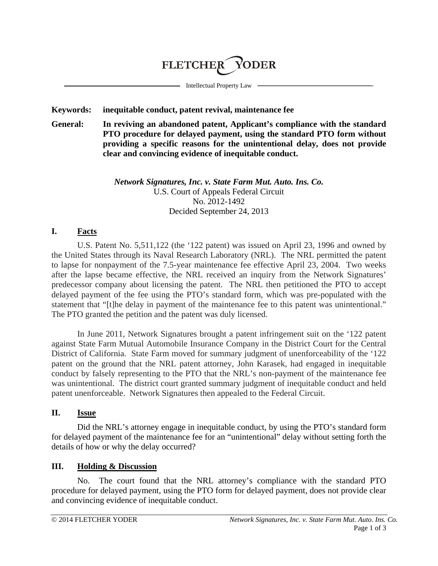

Intellectual Property Law

#### **Keywords: inequitable conduct, patent revival, maintenance fee**

**General: In reviving an abandoned patent, Applicant's compliance with the standard PTO procedure for delayed payment, using the standard PTO form without providing a specific reasons for the unintentional delay, does not provide clear and convincing evidence of inequitable conduct.**

#### *Network Signatures, Inc. v. State Farm Mut. Auto. Ins. Co.* U.S. Court of Appeals Federal Circuit No. 2012-1492 Decided September 24, 2013

## **I. Facts**

U.S. Patent No. 5,511,122 (the '122 patent) was issued on April 23, 1996 and owned by the United States through its Naval Research Laboratory (NRL). The NRL permitted the patent to lapse for nonpayment of the 7.5-year maintenance fee effective April 23, 2004. Two weeks after the lapse became effective, the NRL received an inquiry from the Network Signatures' predecessor company about licensing the patent. The NRL then petitioned the PTO to accept delayed payment of the fee using the PTO's standard form, which was pre-populated with the statement that "[t]he delay in payment of the maintenance fee to this patent was unintentional." The PTO granted the petition and the patent was duly licensed.

In June 2011, Network Signatures brought a patent infringement suit on the '122 patent against State Farm Mutual Automobile Insurance Company in the District Court for the Central District of California. State Farm moved for summary judgment of unenforceability of the '122 patent on the ground that the NRL patent attorney, John Karasek, had engaged in inequitable conduct by falsely representing to the PTO that the NRL's non-payment of the maintenance fee was unintentional. The district court granted summary judgment of inequitable conduct and held patent unenforceable. Network Signatures then appealed to the Federal Circuit.

### **II. Issue**

Did the NRL's attorney engage in inequitable conduct, by using the PTO's standard form for delayed payment of the maintenance fee for an "unintentional" delay without setting forth the details of how or why the delay occurred?

### **III. Holding & Discussion**

No. The court found that the NRL attorney's compliance with the standard PTO procedure for delayed payment, using the PTO form for delayed payment, does not provide clear and convincing evidence of inequitable conduct.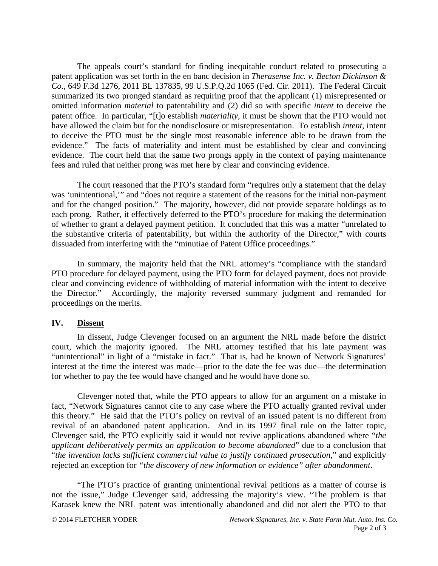The appeals court's standard for finding inequitable conduct related to prosecuting a patent application was set forth in the en banc decision in *Therasense Inc. v. Becton Dickinson & Co.*, 649 F.3d 1276, 2011 BL 137835, 99 U.S.P.Q.2d 1065 (Fed. Cir. 2011). The Federal Circuit summarized its two pronged standard as requiring proof that the applicant (1) misrepresented or omitted information *material* to patentability and (2) did so with specific *intent* to deceive the patent office. In particular, "[t]o establish *materiality*, it must be shown that the PTO would not have allowed the claim but for the nondisclosure or misrepresentation. To establish *intent*, intent to deceive the PTO must be the single most reasonable inference able to be drawn from the evidence." The facts of materiality and intent must be established by clear and convincing evidence. The court held that the same two prongs apply in the context of paying maintenance fees and ruled that neither prong was met here by clear and convincing evidence.

The court reasoned that the PTO's standard form "requires only a statement that the delay was 'unintentional,'" and "does not require a statement of the reasons for the initial non-payment and for the changed position." The majority, however, did not provide separate holdings as to each prong. Rather, it effectively deferred to the PTO's procedure for making the determination of whether to grant a delayed payment petition. It concluded that this was a matter "unrelated to the substantive criteria of patentability, but within the authority of the Director," with courts dissuaded from interfering with the "minutiae of Patent Office proceedings."

In summary, the majority held that the NRL attorney's "compliance with the standard PTO procedure for delayed payment, using the PTO form for delayed payment, does not provide clear and convincing evidence of withholding of material information with the intent to deceive the Director." Accordingly, the majority reversed summary judgment and remanded for proceedings on the merits.

# **IV. Dissent**

In dissent, Judge Clevenger focused on an argument the NRL made before the district court, which the majority ignored. The NRL attorney testified that his late payment was "unintentional" in light of a "mistake in fact." That is, had he known of Network Signatures' interest at the time the interest was made—prior to the date the fee was due—the determination for whether to pay the fee would have changed and he would have done so.

Clevenger noted that, while the PTO appears to allow for an argument on a mistake in fact, "Network Signatures cannot cite to any case where the PTO actually granted revival under this theory." He said that the PTO's policy on revival of an issued patent is no different from revival of an abandoned patent application. And in its 1997 final rule on the latter topic, Clevenger said, the PTO explicitly said it would not revive applications abandoned where "*the applicant deliberatively permits an application to become abandoned*" due to a conclusion that "*the invention lacks sufficient commercial value to justify continued prosecution*," and explicitly rejected an exception for *"the discovery of new information or evidence" after abandonment*.

"The PTO's practice of granting unintentional revival petitions as a matter of course is not the issue," Judge Clevenger said, addressing the majority's view. "The problem is that Karasek knew the NRL patent was intentionally abandoned and did not alert the PTO to that